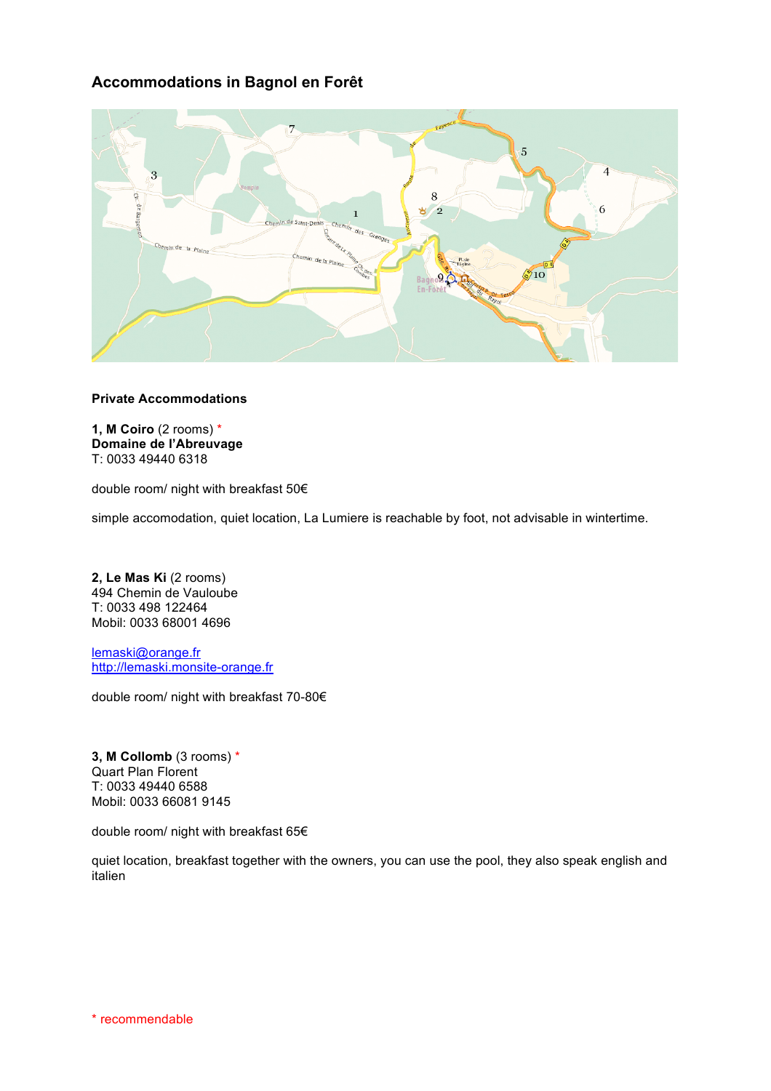# **Accommodations in Bagnol en Forêt**



## **Private Accommodations**

**1, M Coiro** (2 rooms) \* **Domaine de l'Abreuvage** T: 0033 49440 6318

double room/ night with breakfast 50€

simple accomodation, quiet location, La Lumiere is reachable by foot, not advisable in wintertime.

**2, Le Mas Ki** (2 rooms) 494 Chemin de Vauloube T: 0033 498 122464 Mobil: 0033 68001 4696

lemaski@orange.fr http://lemaski.monsite-orange.fr

double room/ night with breakfast 70-80€

**3, M Collomb** (3 rooms) \* Quart Plan Florent T: 0033 49440 6588 Mobil: 0033 66081 9145

double room/ night with breakfast 65€

quiet location, breakfast together with the owners, you can use the pool, they also speak english and italien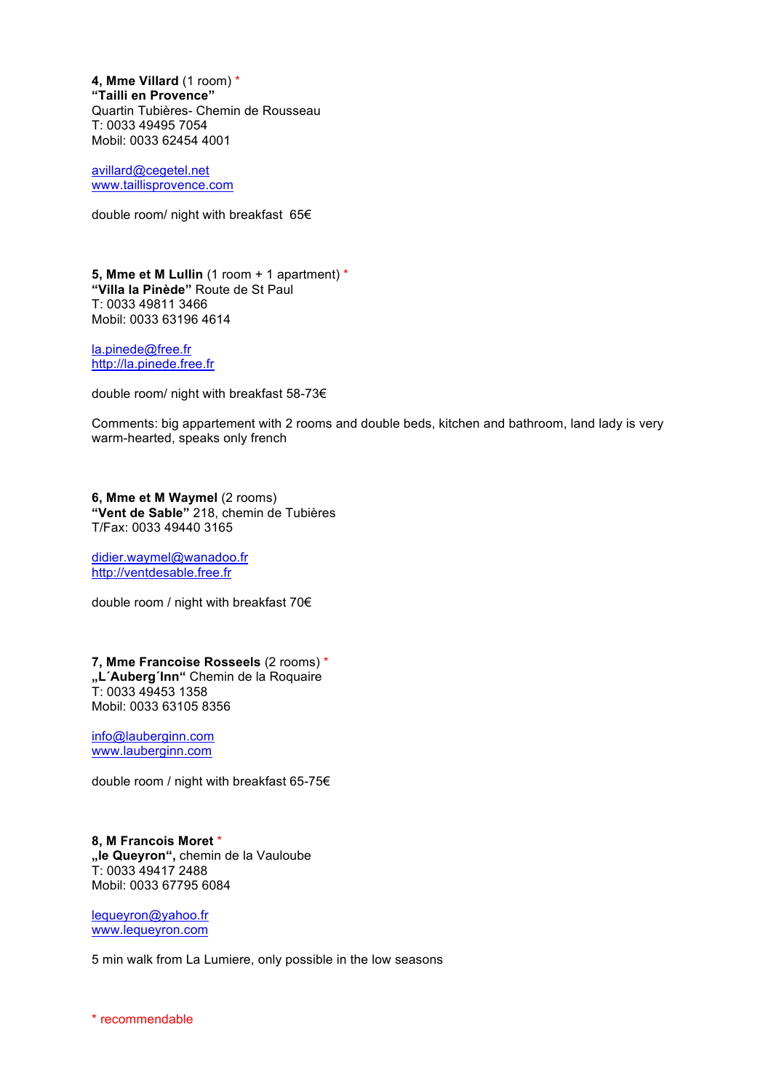**4, Mme Villard** (1 room) \* **"Tailli en Provence"** Quartin Tubières- Chemin de Rousseau T: 0033 49495 7054 Mobil: 0033 62454 4001

avillard@cegetel.net www.taillisprovence.com

double room/ night with breakfast 65€

**5, Mme et M Lullin** (1 room + 1 apartment) \* **"Villa la Pinède"** Route de St Paul T: 0033 49811 3466 Mobil: 0033 63196 4614

la.pinede@free.fr http://la.pinede.free.fr

double room/ night with breakfast 58-73€

Comments: big appartement with 2 rooms and double beds, kitchen and bathroom, land lady is very warm-hearted, speaks only french

**6, Mme et M Waymel** (2 rooms) **"Vent de Sable"** 218, chemin de Tubières T/Fax: 0033 49440 3165

didier.waymel@wanadoo.fr http://ventdesable.free.fr

double room / night with breakfast 70€

**7, Mme Francoise Rosseels** (2 rooms) \* **"L´Auberg´Inn"** Chemin de la Roquaire T: 0033 49453 1358 Mobil: 0033 63105 8356

info@lauberginn.com www.lauberginn.com

double room / night with breakfast 65-75€

**8, M Francois Moret** \* **"le Queyron",** chemin de la Vauloube T: 0033 49417 2488 Mobil: 0033 67795 6084

lequeyron@yahoo.fr www.lequeyron.com

5 min walk from La Lumiere, only possible in the low seasons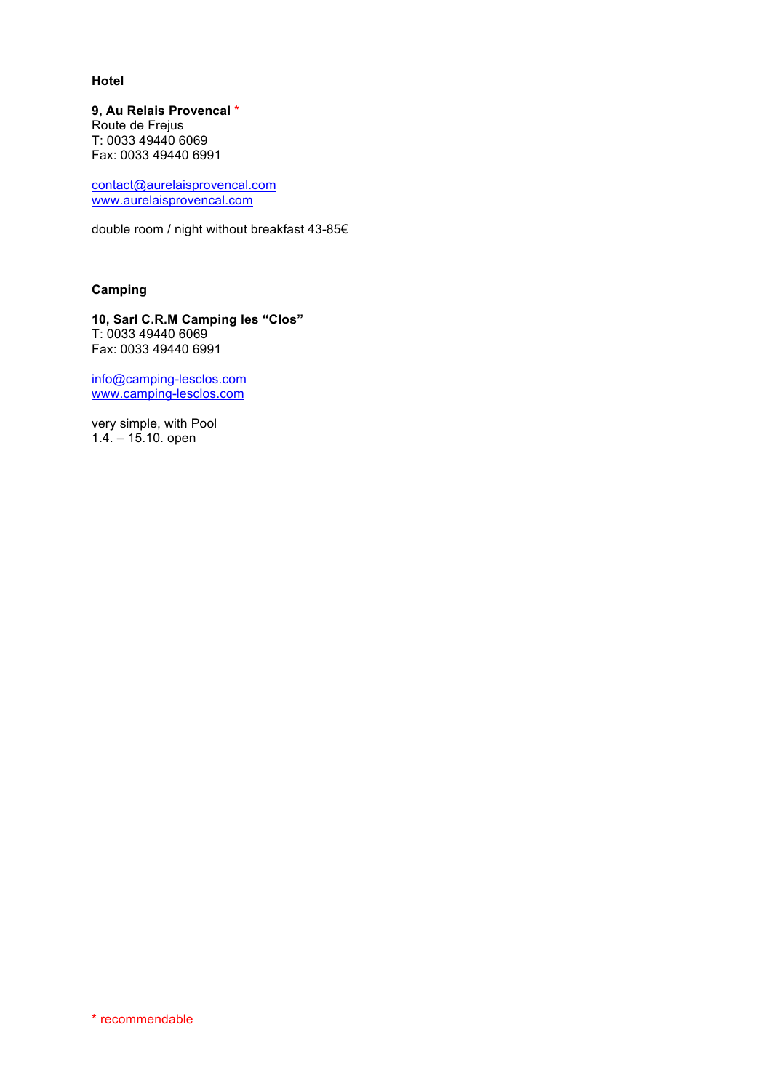## **Hotel**

**9, Au Relais Provencal** \* Route de Frejus T: 0033 49440 6069 Fax: 0033 49440 6991

contact@aurelaisprovencal.com www.aurelaisprovencal.com

double room / night without breakfast 43-85€

## **Camping**

**10, Sarl C.R.M Camping les "Clos"** T: 0033 49440 6069 Fax: 0033 49440 6991

info@camping-lesclos.com www.camping-lesclos.com

very simple, with Pool 1.4. – 15.10. open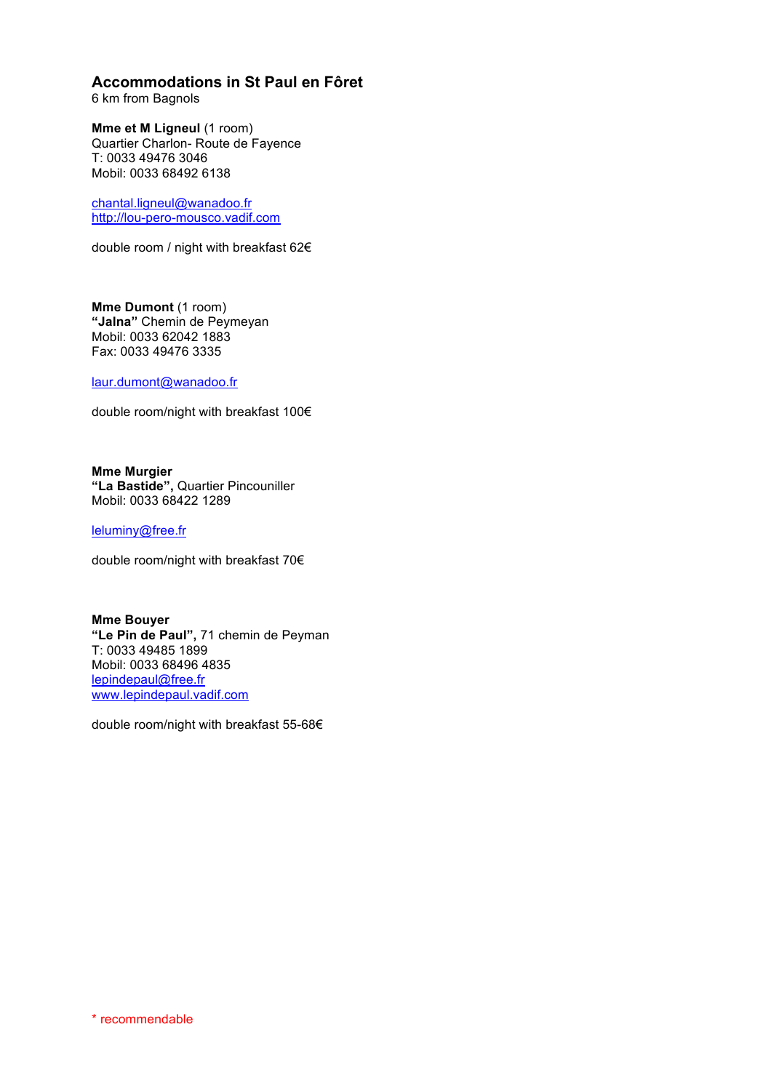# **Accommodations in St Paul en Fôret**

6 km from Bagnols

**Mme et M Ligneul (1 room)** Quartier Charlon- Route de Fayence T: 0033 49476 3046 Mobil: 0033 68492 6138

chantal.ligneul@wanadoo.fr http://lou-pero-mousco.vadif.com

double room / night with breakfast 62€

**Mme Dumont** (1 room) **"Jalna"** Chemin de Peymeyan Mobil: 0033 62042 1883 Fax: 0033 49476 3335

laur.dumont@wanadoo.fr

double room/night with breakfast 100€

**Mme Murgier "La Bastide",** Quartier Pincouniller Mobil: 0033 68422 1289

leluminy@free.fr

double room/night with breakfast 70€

**Mme Bouyer "Le Pin de Paul",** 71 chemin de Peyman T: 0033 49485 1899 Mobil: 0033 68496 4835 lepindepaul@free.fr www.lepindepaul.vadif.com

double room/night with breakfast 55-68€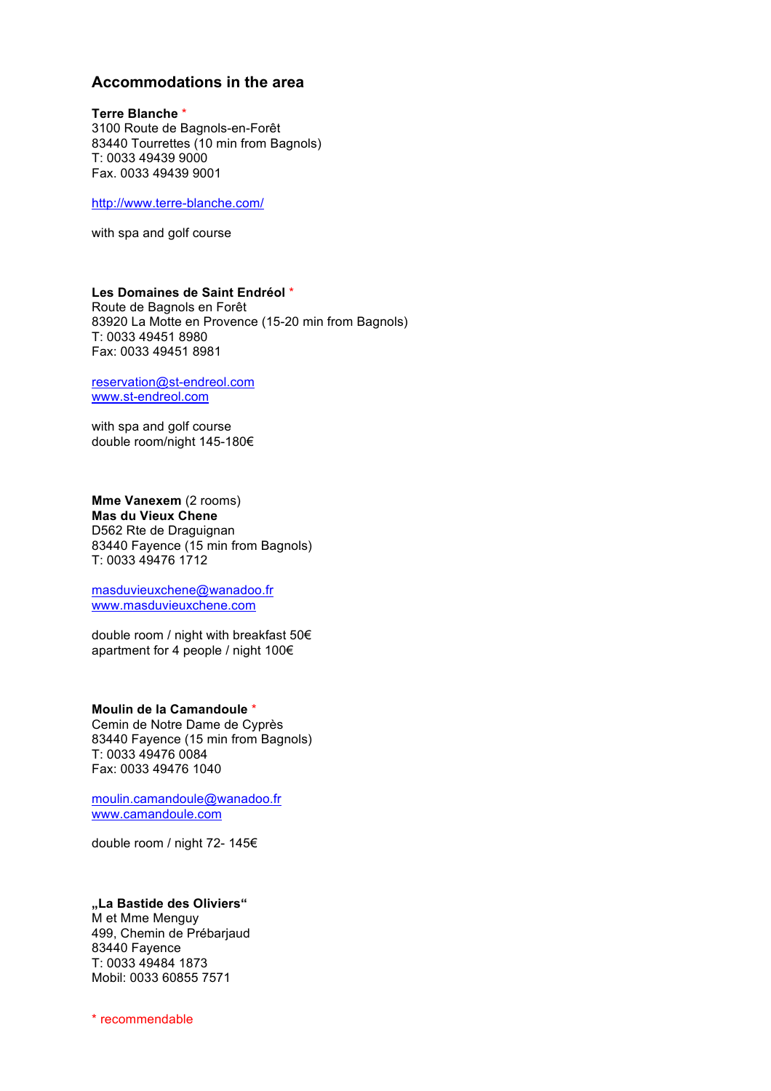# **Accommodations in the area**

**Terre Blanche** \* 3100 Route de Bagnols-en-Forêt 83440 Tourrettes (10 min from Bagnols) T: 0033 49439 9000 Fax. 0033 49439 9001

http://www.terre-blanche.com/

with spa and golf course

#### **Les Domaines de Saint Endréol** \* Route de Bagnols en Forêt 83920 La Motte en Provence (15-20 min from Bagnols) T: 0033 49451 8980 Fax: 0033 49451 8981

reservation@st-endreol.com www.st-endreol.com

with spa and golf course double room/night 145-180€

**Mme Vanexem** (2 rooms) **Mas du Vieux Chene** D562 Rte de Draguignan 83440 Fayence (15 min from Bagnols) T: 0033 49476 1712

masduvieuxchene@wanadoo.fr www.masduvieuxchene.com

double room / night with breakfast 50€ apartment for 4 people / night 100€

**Moulin de la Camandoule** \* Cemin de Notre Dame de Cyprès 83440 Fayence (15 min from Bagnols) T: 0033 49476 0084 Fax: 0033 49476 1040

moulin.camandoule@wanadoo.fr www.camandoule.com

double room / night 72- 145€

#### **"La Bastide des Oliviers"**

M et Mme Menguy 499, Chemin de Prébarjaud 83440 Fayence T: 0033 49484 1873 Mobil: 0033 60855 7571